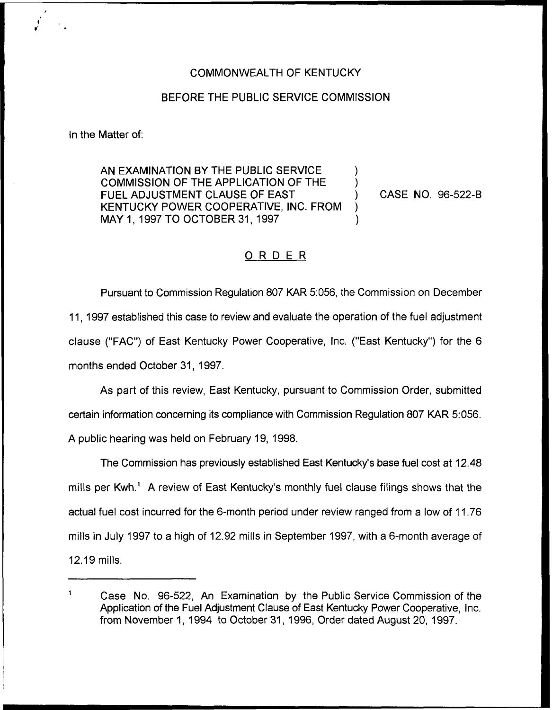## COMMONWEALTH OF KENTUCKY

## BEFORE THE PUBLIC SERVICE COMMISSION

In the Matter of:

 $\mathbf{1}$ 

AN EXAMINATION BY THE PUBLIC SERVICE COMMISSION OF THE APPLICATION OF THE FUEL ADJUSTMENT CLAUSE OF EAST KENTUCKY POWER COOPERATIVE, INC. FROM ) MAY 1, 1997 TO OCTOBER 31, 1997

CASE NO. 96-522-B

## ORDER

Pursuant to Commission Regulation 807 KAR 5:056, the Commission on December 11, 1997 established this case to review and evaluate the operation of the fuel adjustment clause ("FAC") of East Kentucky Power Cooperative, Inc. ("East Kentucky") for the 6 months ended October 31, 1997.

As part of this review, East Kentucky, pursuant to Commission Order, submitted certain information concerning its compliance with Commission Regulation 807 KAR 5:056. A public hearing was held on February 19, 1998.

The Commission has previously established East Kentucky's base fuel cost at 12.48 mills per Kwh.<sup>1</sup> A review of East Kentucky's monthly fuel clause filings shows that the actual fuel cost incurred for the 6-month period under review ranged from a low of 11.76 mills in July 1997 to a high of 12.92 mills in September 1997, with a 6-month average of 12.19mills.

Case No. 96-522, An Examination by the Public Service Commission of the Application of the Fuel Adjustment Clause of East Kentucky Power Cooperative, Inc. from November 1, 1994 to October 31, 1996, Order dated August 20, 1997.